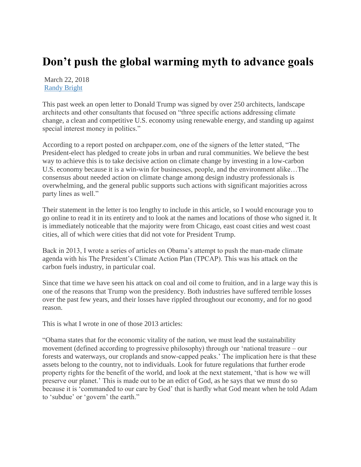## **Don't push the global warming myth to advance goals**

March 22, 2018 [Randy Bright](http://tulsabeacon.com/author/randy-bright/)

This past week an open letter to Donald Trump was signed by over 250 architects, landscape architects and other consultants that focused on "three specific actions addressing climate change, a clean and competitive U.S. economy using renewable energy, and standing up against special interest money in politics."

According to a report posted on archpaper.com, one of the signers of the letter stated, "The President-elect has pledged to create jobs in urban and rural communities. We believe the best way to achieve this is to take decisive action on climate change by investing in a low-carbon U.S. economy because it is a win-win for businesses, people, and the environment alike…The consensus about needed action on climate change among design industry professionals is overwhelming, and the general public supports such actions with significant majorities across party lines as well."

Their statement in the letter is too lengthy to include in this article, so I would encourage you to go online to read it in its entirety and to look at the names and locations of those who signed it. It is immediately noticeable that the majority were from Chicago, east coast cities and west coast cities, all of which were cities that did not vote for President Trump.

Back in 2013, I wrote a series of articles on Obama's attempt to push the man-made climate agenda with his The President's Climate Action Plan (TPCAP). This was his attack on the carbon fuels industry, in particular coal.

Since that time we have seen his attack on coal and oil come to fruition, and in a large way this is one of the reasons that Trump won the presidency. Both industries have suffered terrible losses over the past few years, and their losses have rippled throughout our economy, and for no good reason.

This is what I wrote in one of those 2013 articles:

"Obama states that for the economic vitality of the nation, we must lead the sustainability movement (defined according to progressive philosophy) through our 'national treasure – our forests and waterways, our croplands and snow-capped peaks.' The implication here is that these assets belong to the country, not to individuals. Look for future regulations that further erode property rights for the benefit of the world, and look at the next statement, 'that is how we will preserve our planet.' This is made out to be an edict of God, as he says that we must do so because it is 'commanded to our care by God' that is hardly what God meant when he told Adam to 'subdue' or 'govern' the earth."